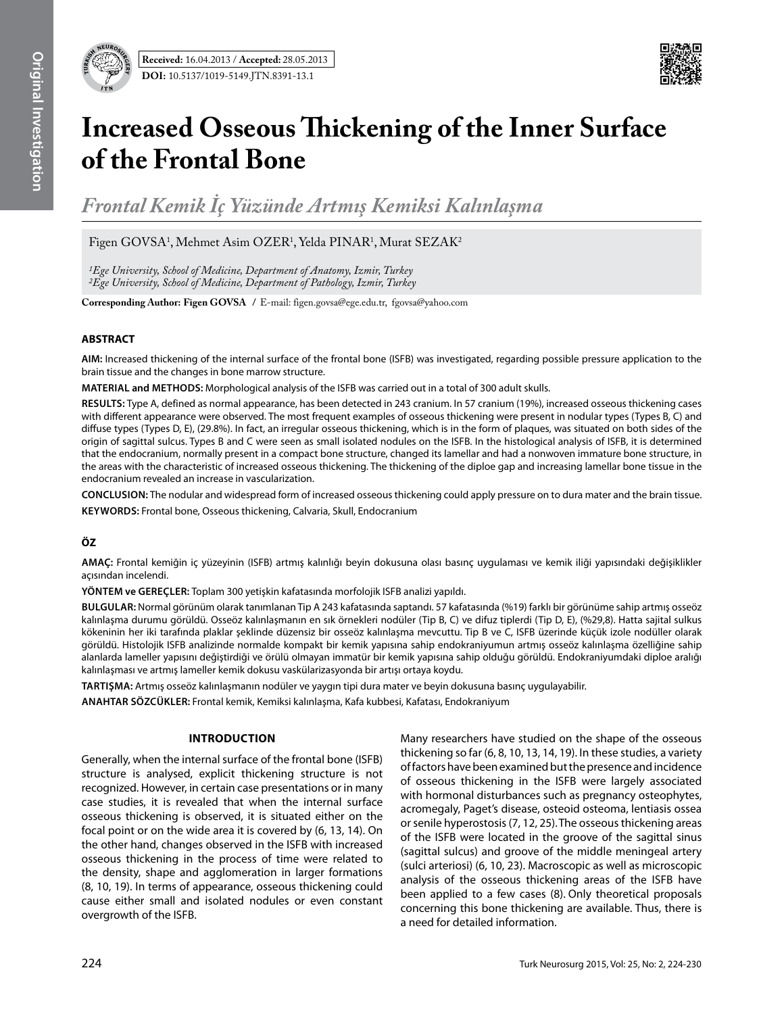

# **Increased Osseous Thickening of the Inner Surface of the Frontal Bone**

*Frontal Kemik İç Yüzünde Artmış Kemiksi Kalınlaşma*

Figen GOVSA<sup>1</sup>, Mehmet Asim OZER<sup>1</sup>, Yelda PINAR<sup>1</sup>, Murat SEZAK<sup>2</sup>

*1Ege University, School of Medicine, Department of Anatomy, Izmir, Turkey 2Ege University, School of Medicine, Department of Pathology, Izmir, Turkey*

**Corresponding Author: Figen GOVSA /** E-mail: figen.govsa@ege.edu.tr, fgovsa@yahoo.com

## **ABSTRACT**

**AIM:** Increased thickening of the internal surface of the frontal bone (ISFB) was investigated, regarding possible pressure application to the brain tissue and the changes in bone marrow structure.

**MaterIal and methods:** Morphological analysis of the ISFB was carried out in a total of 300 adult skulls.

**Results:** Type A, defined as normal appearance, has been detected in 243 cranium. In 57 cranium (19%), increased osseous thickening cases with different appearance were observed. The most frequent examples of osseous thickening were present in nodular types (Types B, C) and diffuse types (Types D, E), (29.8%). In fact, an irregular osseous thickening, which is in the form of plaques, was situated on both sides of the origin of sagittal sulcus. Types B and C were seen as small isolated nodules on the ISFB. In the histological analysis of ISFB, it is determined that the endocranium, normally present in a compact bone structure, changed its lamellar and had a nonwoven immature bone structure, in the areas with the characteristic of increased osseous thickening. The thickening of the diploe gap and increasing lamellar bone tissue in the endocranium revealed an increase in vascularization.

**ConclusIon:** The nodular and widespread form of increased osseous thickening could apply pressure on to dura mater and the brain tissue. **Keywords:** Frontal bone, Osseous thickening, Calvaria, Skull, Endocranium

# **ÖZ**

**Amaç:** Frontal kemiğin iç yüzeyinin (ISFB) artmış kalınlığı beyin dokusuna olası basınç uygulaması ve kemik iliği yapısındaki değişiklikler açısından incelendi.

**yöntem ve gereçler:** Toplam 300 yetişkin kafatasında morfolojik ISFB analizi yapıldı.

**Bulgular:** Normal görünüm olarak tanımlanan Tip A 243 kafatasında saptandı. 57 kafatasında (%19) farklı bir görünüme sahip artmış osseöz kalınlaşma durumu görüldü. Osseöz kalınlaşmanın en sık örnekleri nodüler (Tip B, C) ve difuz tiplerdi (Tip D, E), (%29,8). Hatta sajital sulkus kökeninin her iki tarafında plaklar şeklinde düzensiz bir osseöz kalınlaşma mevcuttu. Tip B ve C, ISFB üzerinde küçük izole nodüller olarak görüldü. Histolojik ISFB analizinde normalde kompakt bir kemik yapısına sahip endokraniyumun artmış osseöz kalınlaşma özelliğine sahip alanlarda lameller yapısını değiştirdiği ve örülü olmayan immatür bir kemik yapısına sahip olduğu görüldü. Endokraniyumdaki diploe aralığı kalınlaşması ve artmış lameller kemik dokusu vaskülarizasyonda bir artışı ortaya koydu.

**Tartışma:** Artmış osseöz kalınlaşmanın nodüler ve yaygın tipi dura mater ve beyin dokusuna basınç uygulayabilir.

**ANAHTAR SÖZCÜKLER:** Frontal kemik, Kemiksi kalınlaşma, Kafa kubbesi, Kafatası, Endokraniyum

## **Introduction**

Generally, when the internal surface of the frontal bone (ISFB) structure is analysed, explicit thickening structure is not recognized. However, in certain case presentations or in many case studies, it is revealed that when the internal surface osseous thickening is observed, it is situated either on the focal point or on the wide area it is covered by (6, 13, 14). On the other hand, changes observed in the ISFB with increased osseous thickening in the process of time were related to the density, shape and agglomeration in larger formations (8, 10, 19). In terms of appearance, osseous thickening could cause either small and isolated nodules or even constant overgrowth of the ISFB.

Many researchers have studied on the shape of the osseous thickening so far (6, 8, 10, 13, 14, 19). In these studies, a variety of factors have been examined but the presence and incidence of osseous thickening in the ISFB were largely associated with hormonal disturbances such as pregnancy osteophytes, acromegaly, Paget's disease, osteoid osteoma, lentiasis ossea or senile hyperostosis (7, 12, 25).The osseous thickening areas of the ISFB were located in the groove of the sagittal sinus (sagittal sulcus) and groove of the middle meningeal artery (sulci arteriosi) (6, 10, 23). Macroscopic as well as microscopic analysis of the osseous thickening areas of the ISFB have been applied to a few cases (8). Only theoretical proposals concerning this bone thickening are available. Thus, there is a need for detailed information.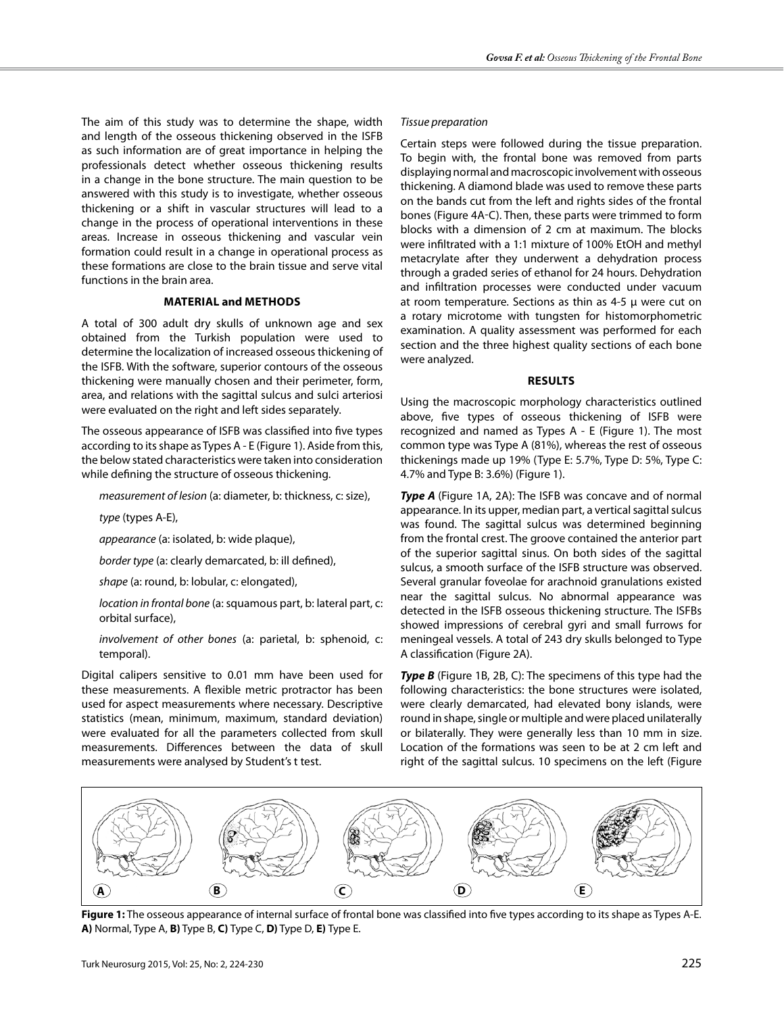The aim of this study was to determine the shape, width and length of the osseous thickening observed in the ISFB as such information are of great importance in helping the professionals detect whether osseous thickening results in a change in the bone structure. The main question to be answered with this study is to investigate, whether osseous thickening or a shift in vascular structures will lead to a change in the process of operational interventions in these areas. Increase in osseous thickening and vascular vein formation could result in a change in operational process as these formations are close to the brain tissue and serve vital functions in the brain area.

### **Material and Methods**

A total of 300 adult dry skulls of unknown age and sex obtained from the Turkish population were used to determine the localization of increased osseous thickening of the ISFB. With the software, superior contours of the osseous thickening were manually chosen and their perimeter, form, area, and relations with the sagittal sulcus and sulci arteriosi were evaluated on the right and left sides separately.

The osseous appearance of ISFB was classified into five types according to its shape as Types A - E (Figure 1). Aside from this, the below stated characteristics were taken into consideration while defining the structure of osseous thickening.

*measurement of lesion* (a: diameter, b: thickness, c: size),

*type* (types A-E),

*appearance* (a: isolated, b: wide plaque),

*border type* (a: clearly demarcated, b: ill defined),

*shape* (a: round, b: lobular, c: elongated),

*location in frontal bone* (a: squamous part, b: lateral part, c: orbital surface),

*involvement of other bones* (a: parietal, b: sphenoid, c: temporal).

Digital calipers sensitive to 0.01 mm have been used for these measurements. A flexible metric protractor has been used for aspect measurements where necessary. Descriptive statistics (mean, minimum, maximum, standard deviation) were evaluated for all the parameters collected from skull measurements. Differences between the data of skull measurements were analysed by Student's t test.

#### *Tissue preparation*

Certain steps were followed during the tissue preparation. To begin with, the frontal bone was removed from parts displaying normal and macroscopic involvement with osseous thickening. A diamond blade was used to remove these parts on the bands cut from the left and rights sides of the frontal bones (Figure 4a-c). Then, these parts were trimmed to form blocks with a dimension of 2 cm at maximum. The blocks were infiltrated with a 1:1 mixture of 100% EtOH and methyl metacrylate after they underwent a dehydration process through a graded series of ethanol for 24 hours. Dehydration and infiltration processes were conducted under vacuum at room temperature. Sections as thin as 4-5 µ were cut on a rotary microtome with tungsten for histomorphometric examination. A quality assessment was performed for each section and the three highest quality sections of each bone were analyzed.

#### **Results**

Using the macroscopic morphology characteristics outlined above, five types of osseous thickening of ISFB were recognized and named as Types A - E (Figure 1). The most common type was Type A (81%), whereas the rest of osseous thickenings made up 19% (Type E: 5.7%, Type D: 5%, Type C: 4.7% and Type B: 3.6%) (Figure 1).

**Type A** (Figure 1A, 2A): The ISFB was concave and of normal appearance. In its upper, median part, a vertical sagittal sulcus was found. The sagittal sulcus was determined beginning from the frontal crest. The groove contained the anterior part of the superior sagittal sinus. On both sides of the sagittal sulcus, a smooth surface of the ISFB structure was observed. Several granular foveolae for arachnoid granulations existed near the sagittal sulcus. No abnormal appearance was detected in the ISFB osseous thickening structure. The ISFBs showed impressions of cerebral gyri and small furrows for meningeal vessels. A total of 243 dry skulls belonged to Type A classification (Figure 2a).

**Type B** (Figure 1B, 2B, C): The specimens of this type had the following characteristics: the bone structures were isolated, were clearly demarcated, had elevated bony islands, were round in shape, single or multiple and were placed unilaterally or bilaterally. They were generally less than 10 mm in size. Location of the formations was seen to be at 2 cm left and right of the sagittal sulcus. 10 specimens on the left (Figure



**Figure 1:** The osseous appearance of internal surface of frontal bone was classified into five types according to its shape as Types A-E. **A)** Normal, Type A, **B)** Type B, **C)** Type C, **D)** Type D, **E)** Type E.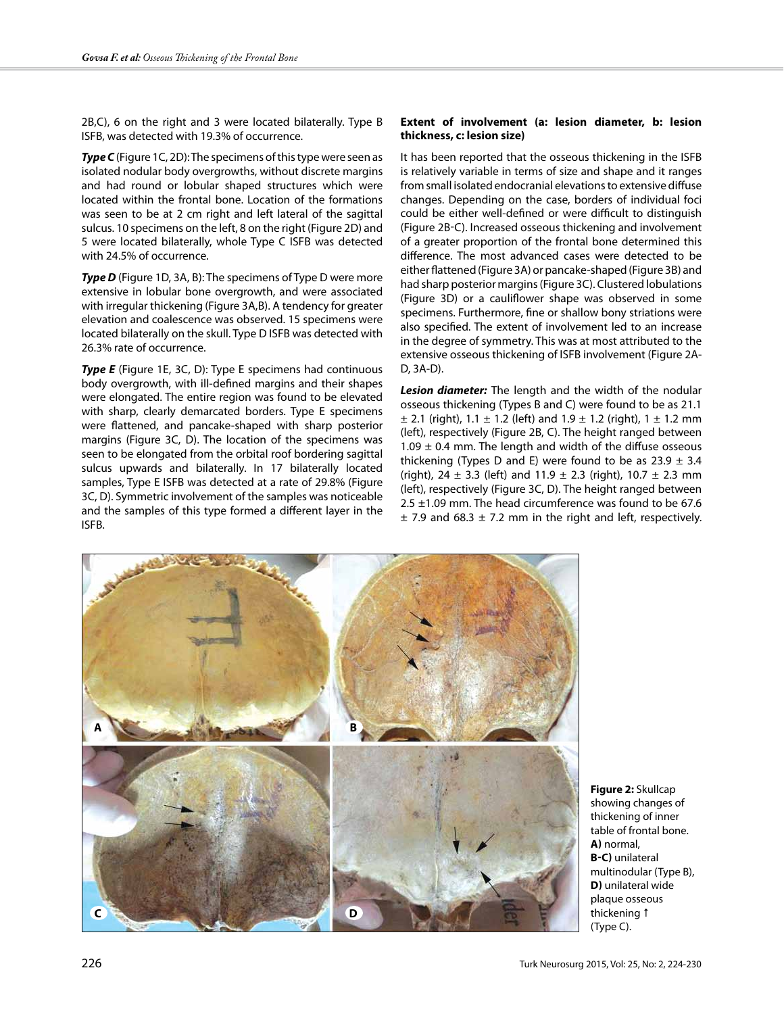2B,C), 6 on the right and 3 were located bilaterally. Type B ISFB, was detected with 19.3% of occurrence.

**Type C** (Figure 1C, 2D): The specimens of this type were seen as isolated nodular body overgrowths, without discrete margins and had round or lobular shaped structures which were located within the frontal bone. Location of the formations was seen to be at 2 cm right and left lateral of the sagittal sulcus. 10 specimens on the left, 8 on the right (Figure 2D) and 5 were located bilaterally, whole Type C ISFB was detected with 24.5% of occurrence.

**Type D** (Figure 1D, 3A, B): The specimens of Type D were more extensive in lobular bone overgrowth, and were associated with irregular thickening (Figure 3A,B). A tendency for greater elevation and coalescence was observed. 15 specimens were located bilaterally on the skull. Type D ISFB was detected with 26.3% rate of occurrence.

**Type E** (Figure 1E, 3C, D): Type E specimens had continuous body overgrowth, with ill-defined margins and their shapes were elongated. The entire region was found to be elevated with sharp, clearly demarcated borders. Type E specimens were flattened, and pancake-shaped with sharp posterior margins (Figure 3C, D). The location of the specimens was seen to be elongated from the orbital roof bordering sagittal sulcus upwards and bilaterally. In 17 bilaterally located samples, Type E ISFB was detected at a rate of 29.8% (Figure 3C, D). Symmetric involvement of the samples was noticeable and the samples of this type formed a different layer in the ISFB.

### **Extent of involvement (a: lesion diameter, b: lesion thickness, c: lesion size)**

It has been reported that the osseous thickening in the ISFB is relatively variable in terms of size and shape and it ranges from small isolated endocranial elevations to extensive diffuse changes. Depending on the case, borders of individual foci could be either well-defined or were difficult to distinguish (Figure 2b-c). Increased osseous thickening and involvement of a greater proportion of the frontal bone determined this difference. The most advanced cases were detected to be either flattened (Figure 3a) or pancake-shaped (Figure 3b) and had sharp posterior margins (Figure 3c). Clustered lobulations (Figure 3D) or a cauliflower shape was observed in some specimens. Furthermore, fine or shallow bony striations were also specified. The extent of involvement led to an increase in the degree of symmetry. This was at most attributed to the extensive osseous thickening of ISFB involvement (Figure 2A-D, 3A-D).

*Lesion diameter:* The length and the width of the nodular osseous thickening (Types B and C) were found to be as 21.1  $\pm$  2.1 (right), 1.1  $\pm$  1.2 (left) and 1.9  $\pm$  1.2 (right), 1  $\pm$  1.2 mm (left), respectively (Figure 2b, c). The height ranged between 1.09  $\pm$  0.4 mm. The length and width of the diffuse osseous thickening (Types D and E) were found to be as  $23.9 \pm 3.4$ (right), 24  $\pm$  3.3 (left) and 11.9  $\pm$  2.3 (right), 10.7  $\pm$  2.3 mm (left), respectively (Figure 3C, D). The height ranged between 2.5 ±1.09 mm. The head circumference was found to be 67.6  $\pm$  7.9 and 68.3  $\pm$  7.2 mm in the right and left, respectively.



**Figure 2:** Skullcap showing changes of thickening of inner table of frontal bone. **a)** normal, **b-c)** unilateral multinodular (Type B), **D**) unilateral wide plaque osseous thickening 1 (Type C).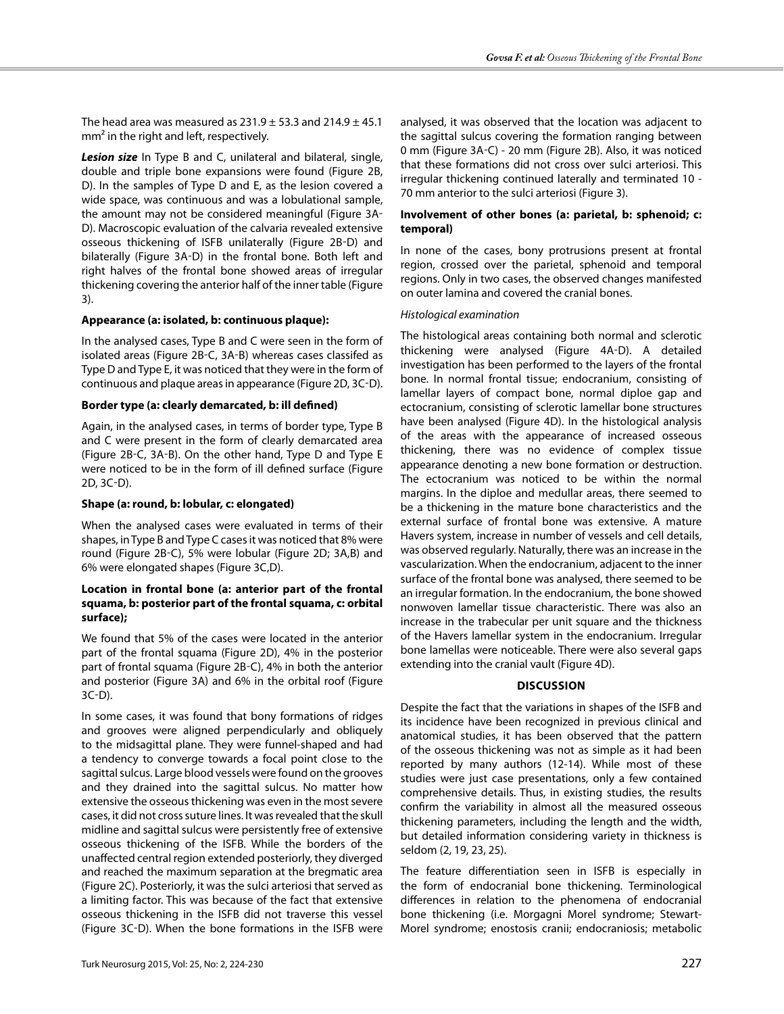The head area was measured as  $231.9 \pm 53.3$  and  $214.9 \pm 45.1$ mm<sup>2</sup> in the right and left, respectively.

*Lesion size* In Type B and C, unilateral and bilateral, single, double and triple bone expansions were found (Figure 2b, D). In the samples of Type D and E, as the lesion covered a wide space, was continuous and was a lobulational sample, the amount may not be considered meaningful (Figure 3a-D). Macroscopic evaluation of the calvaria revealed extensive osseous thickening of ISFB unilaterally (Figure 2B-D) and bilaterally (Figure 3A-D) in the frontal bone. Both left and right halves of the frontal bone showed areas of irregular thickening covering the anterior half of the inner table (Figure 3).

# **Appearance (a: isolated, b: continuous plaque):**

In the analysed cases, Type B and C were seen in the form of isolated areas (Figure 2b-c, 3a-b) whereas cases classifed as Type D and Type E, it was noticed that they were in the form of continuous and plaque areas in appearance (Figure 2D, 3C-D).

# **Border type (a: clearly demarcated, b: ill defined)**

Again, in the analysed cases, in terms of border type, Type B and C were present in the form of clearly demarcated area (Figure 2b-c, 3a-b). On the other hand, Type D and Type E were noticed to be in the form of ill defined surface (Figure 2d, 3c-d).

# **Shape (a: round, b: lobular, c: elongated)**

When the analysed cases were evaluated in terms of their shapes, in Type B and Type C cases it was noticed that 8% were round (Figure 2B-C), 5% were lobular (Figure 2D; 3A,B) and 6% were elongated shapes (Figure 3C,D).

## **Location in frontal bone (a: anterior part of the frontal squama, b: posterior part of the frontal squama, c: orbital surface);**

We found that 5% of the cases were located in the anterior part of the frontal squama (Figure 2D), 4% in the posterior part of frontal squama (Figure 2b-c), 4% in both the anterior and posterior (Figure 3a) and 6% in the orbital roof (Figure 3c-d).

In some cases, it was found that bony formations of ridges and grooves were aligned perpendicularly and obliquely to the midsagittal plane. They were funnel-shaped and had a tendency to converge towards a focal point close to the sagittal sulcus. Large blood vessels were found on the grooves and they drained into the sagittal sulcus. No matter how extensive the osseous thickening was even in the most severe cases, it did not cross suture lines. It was revealed that the skull midline and sagittal sulcus were persistently free of extensive osseous thickening of the ISFB. While the borders of the unaffected central region extended posteriorly, they diverged and reached the maximum separation at the bregmatic area (Figure 2c). Posteriorly, it was the sulci arteriosi that served as a limiting factor. This was because of the fact that extensive osseous thickening in the ISFB did not traverse this vessel (Figure 3c-d). When the bone formations in the ISFB were analysed, it was observed that the location was adjacent to the sagittal sulcus covering the formation ranging between 0 mm (Figure 3a-c) - 20 mm (Figure 2b). Also, it was noticed that these formations did not cross over sulci arteriosi. This irregular thickening continued laterally and terminated 10 - 70 mm anterior to the sulci arteriosi (Figure 3).

## **Involvement of other bones (a: parietal, b: sphenoid; c: temporal)**

In none of the cases, bony protrusions present at frontal region, crossed over the parietal, sphenoid and temporal regions. Only in two cases, the observed changes manifested on outer lamina and covered the cranial bones.

# *Histological examination*

The histological areas containing both normal and sclerotic thickening were analysed (Figure 4A-D). A detailed investigation has been performed to the layers of the frontal bone. In normal frontal tissue; endocranium, consisting of lamellar layers of compact bone, normal diploe gap and ectocranium, consisting of sclerotic lamellar bone structures have been analysed (Figure 4D). In the histological analysis of the areas with the appearance of increased osseous thickening, there was no evidence of complex tissue appearance denoting a new bone formation or destruction. The ectocranium was noticed to be within the normal margins. In the diploe and medullar areas, there seemed to be a thickening in the mature bone characteristics and the external surface of frontal bone was extensive. A mature Havers system, increase in number of vessels and cell details, was observed regularly. Naturally, there was an increase in the vascularization. When the endocranium, adjacent to the inner surface of the frontal bone was analysed, there seemed to be an irregular formation. In the endocranium, the bone showed nonwoven lamellar tissue characteristic. There was also an increase in the trabecular per unit square and the thickness of the Havers lamellar system in the endocranium. Irregular bone lamellas were noticeable. There were also several gaps extending into the cranial vault (Figure 4D).

# **Discussion**

Despite the fact that the variations in shapes of the ISFB and its incidence have been recognized in previous clinical and anatomical studies, it has been observed that the pattern of the osseous thickening was not as simple as it had been reported by many authors (12-14). While most of these studies were just case presentations, only a few contained comprehensive details. Thus, in existing studies, the results confirm the variability in almost all the measured osseous thickening parameters, including the length and the width, but detailed information considering variety in thickness is seldom (2, 19, 23, 25).

The feature differentiation seen in ISFB is especially in the form of endocranial bone thickening. Terminological differences in relation to the phenomena of endocranial bone thickening (i.e. Morgagni Morel syndrome; Stewart-Morel syndrome; enostosis cranii; endocraniosis; metabolic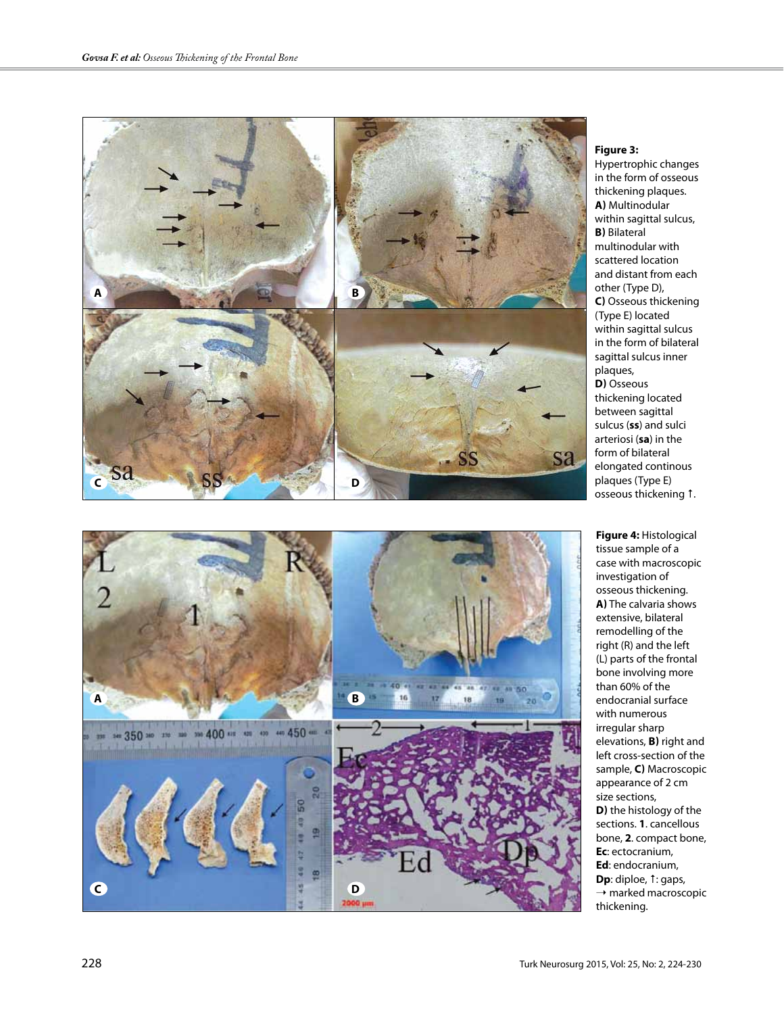



#### **Figure 3:**

Hypertrophic changes in the form of osseous thickening plaques. **a)** Multinodular within sagittal sulcus, **b)** Bilateral multinodular with scattered location and distant from each other (Type D), **c)** Osseous thickening (Type E) located within sagittal sulcus in the form of bilateral sagittal sulcus inner plaques, **d)** Osseous thickening located between sagittal sulcus (**ss**) and sulci arteriosi (**sa**) in the form of bilateral elongated continous plaques (Type E) osseous thickening 1.

**Figure 4:** Histological tissue sample of a case with macroscopic investigation of osseous thickening. **a)** The calvaria shows extensive, bilateral remodelling of the right (R) and the left (L) parts of the frontal bone involving more than 60% of the endocranial surface with numerous irregular sharp elevations, **B)** right and left cross-section of the sample, **C)** Macroscopic appearance of 2 cm size sections, **D)** the histology of the sections. **1**. cancellous bone, **2**. compact bone, **Ec**: ectocranium, **Ed**: endocranium, **Dp**: diploe, 1: gaps,  $\rightarrow$  marked macroscopic thickening.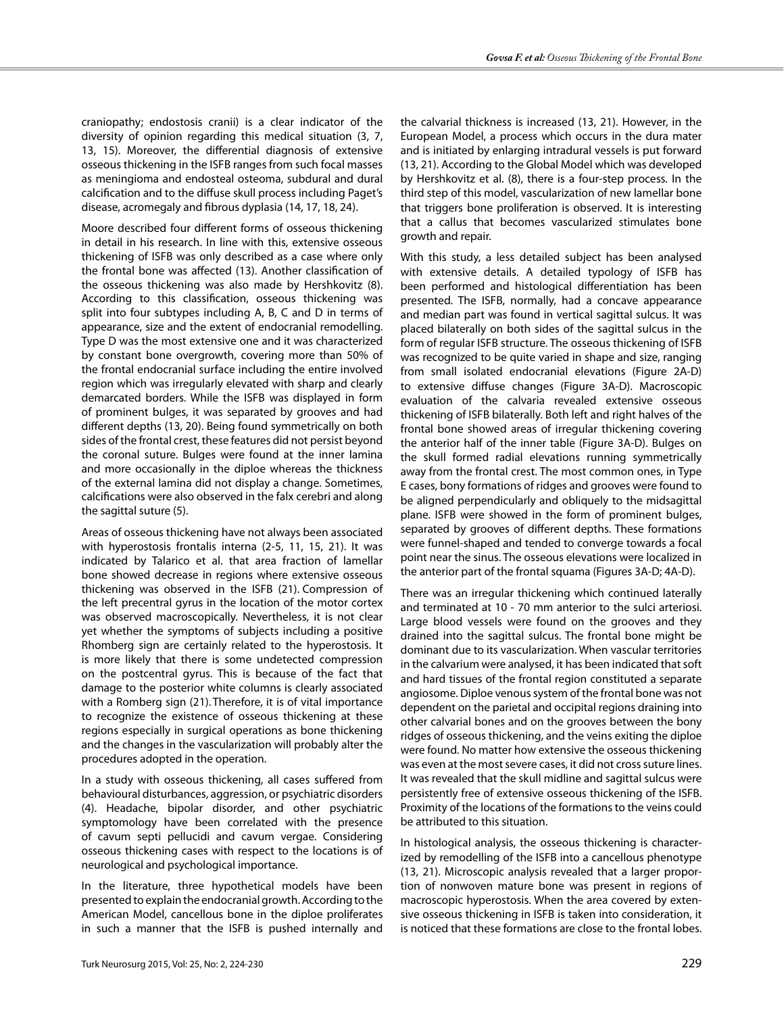craniopathy; endostosis cranii) is a clear indicator of the diversity of opinion regarding this medical situation (3, 7, 13, 15). Moreover, the differential diagnosis of extensive osseous thickening in the ISFB ranges from such focal masses as meningioma and endosteal osteoma, subdural and dural calcification and to the diffuse skull process including Paget's disease, acromegaly and fibrous dyplasia (14, 17, 18, 24).

Moore described four different forms of osseous thickening in detail in his research. In line with this, extensive osseous thickening of ISFB was only described as a case where only the frontal bone was affected (13). Another classification of the osseous thickening was also made by Hershkovitz (8). According to this classification, osseous thickening was split into four subtypes including A, B, C and D in terms of appearance, size and the extent of endocranial remodelling. Type D was the most extensive one and it was characterized by constant bone overgrowth, covering more than 50% of the frontal endocranial surface including the entire involved region which was irregularly elevated with sharp and clearly demarcated borders. While the ISFB was displayed in form of prominent bulges, it was separated by grooves and had different depths (13, 20). Being found symmetrically on both sides of the frontal crest, these features did not persist beyond the coronal suture. Bulges were found at the inner lamina and more occasionally in the diploe whereas the thickness of the external lamina did not display a change. Sometimes, calcifications were also observed in the falx cerebri and along the sagittal suture (5).

Areas of osseous thickening have not always been associated with hyperostosis frontalis interna (2-5, 11, 15, 21). It was indicated by Talarico et al. that area fraction of lamellar bone showed decrease in regions where extensive osseous thickening was observed in the ISFB (21). Compression of the left precentral gyrus in the location of the motor cortex was observed macroscopically. Nevertheless, it is not clear yet whether the symptoms of subjects including a positive Rhomberg sign are certainly related to the hyperostosis. It is more likely that there is some undetected compression on the postcentral gyrus. This is because of the fact that damage to the posterior white columns is clearly associated with a Romberg sign (21). Therefore, it is of vital importance to recognize the existence of osseous thickening at these regions especially in surgical operations as bone thickening and the changes in the vascularization will probably alter the procedures adopted in the operation.

In a study with osseous thickening, all cases suffered from behavioural disturbances, aggression, or psychiatric disorders (4). Headache, bipolar disorder, and other psychiatric symptomology have been correlated with the presence of cavum septi pellucidi and cavum vergae. Considering osseous thickening cases with respect to the locations is of neurological and psychological importance.

In the literature, three hypothetical models have been presented to explain the endocranial growth. According to the American Model, cancellous bone in the diploe proliferates in such a manner that the ISFB is pushed internally and

the calvarial thickness is increased (13, 21). However, in the European Model, a process which occurs in the dura mater and is initiated by enlarging intradural vessels is put forward (13, 21). According to the Global Model which was developed by Hershkovitz et al. (8), there is a four-step process. In the third step of this model, vascularization of new lamellar bone that triggers bone proliferation is observed. It is interesting that a callus that becomes vascularized stimulates bone growth and repair.

With this study, a less detailed subject has been analysed with extensive details. A detailed typology of ISFB has been performed and histological differentiation has been presented. The ISFB, normally, had a concave appearance and median part was found in vertical sagittal sulcus. It was placed bilaterally on both sides of the sagittal sulcus in the form of regular ISFB structure. The osseous thickening of ISFB was recognized to be quite varied in shape and size, ranging from small isolated endocranial elevations (Figure 2A-D) to extensive diffuse changes (Figure 3A-D). Macroscopic evaluation of the calvaria revealed extensive osseous thickening of ISFB bilaterally. Both left and right halves of the frontal bone showed areas of irregular thickening covering the anterior half of the inner table (Figure 3A-D). Bulges on the skull formed radial elevations running symmetrically away from the frontal crest. The most common ones, in Type E cases, bony formations of ridges and grooves were found to be aligned perpendicularly and obliquely to the midsagittal plane. ISFB were showed in the form of prominent bulges, separated by grooves of different depths. These formations were funnel-shaped and tended to converge towards a focal point near the sinus. The osseous elevations were localized in the anterior part of the frontal squama (Figures 3A-D; 4A-D).

There was an irregular thickening which continued laterally and terminated at 10 - 70 mm anterior to the sulci arteriosi. Large blood vessels were found on the grooves and they drained into the sagittal sulcus. The frontal bone might be dominant due to its vascularization. When vascular territories in the calvarium were analysed, it has been indicated that soft and hard tissues of the frontal region constituted a separate angiosome. Diploe venous system of the frontal bone was not dependent on the parietal and occipital regions draining into other calvarial bones and on the grooves between the bony ridges of osseous thickening, and the veins exiting the diploe were found. No matter how extensive the osseous thickening was even at the most severe cases, it did not cross suture lines. It was revealed that the skull midline and sagittal sulcus were persistently free of extensive osseous thickening of the ISFB. Proximity of the locations of the formations to the veins could be attributed to this situation.

In histological analysis, the osseous thickening is characterized by remodelling of the ISFB into a cancellous phenotype (13, 21). Microscopic analysis revealed that a larger proportion of nonwoven mature bone was present in regions of macroscopic hyperostosis. When the area covered by extensive osseous thickening in ISFB is taken into consideration, it is noticed that these formations are close to the frontal lobes.